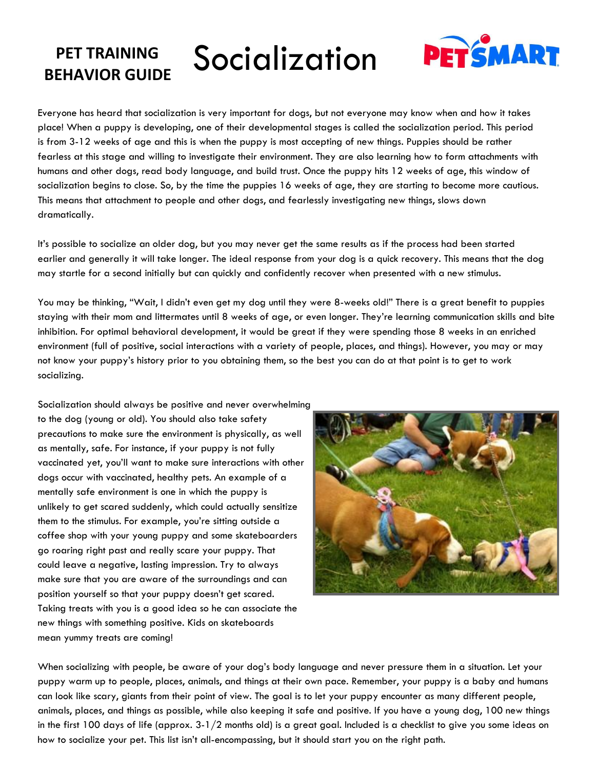## **PET TRAINING PET TRAINING** Socialization



Everyone has heard that socialization is very important for dogs, but not everyone may know when and how it takes place! When a puppy is developing, one of their developmental stages is called the socialization period. This period is from 3-12 weeks of age and this is when the puppy is most accepting of new things. Puppies should be rather fearless at this stage and willing to investigate their environment. They are also learning how to form attachments with humans and other dogs, read body language, and build trust. Once the puppy hits 12 weeks of age, this window of socialization begins to close. So, by the time the puppies 16 weeks of age, they are starting to become more cautious. This means that attachment to people and other dogs, and fearlessly investigating new things, slows down dramatically.

It's possible to socialize an older dog, but you may never get the same results as if the process had been started earlier and generally it will take longer. The ideal response from your dog is a quick recovery. This means that the dog may startle for a second initially but can quickly and confidently recover when presented with a new stimulus.

You may be thinking, "Wait, I didn't even get my dog until they were 8-weeks old!" There is a great benefit to puppies staying with their mom and littermates until 8 weeks of age, or even longer. They're learning communication skills and bite inhibition. For optimal behavioral development, it would be great if they were spending those 8 weeks in an enriched environment (full of positive, social interactions with a variety of people, places, and things). However, you may or may not know your puppy's history prior to you obtaining them, so the best you can do at that point is to get to work socializing.

Socialization should always be positive and never overwhelming to the dog (young or old). You should also take safety precautions to make sure the environment is physically, as well as mentally, safe. For instance, if your puppy is not fully vaccinated yet, you'll want to make sure interactions with other dogs occur with vaccinated, healthy pets. An example of a mentally safe environment is one in which the puppy is unlikely to get scared suddenly, which could actually sensitize them to the stimulus. For example, you're sitting outside a coffee shop with your young puppy and some skateboarders go roaring right past and really scare your puppy. That could leave a negative, lasting impression. Try to always make sure that you are aware of the surroundings and can position yourself so that your puppy doesn't get scared. Taking treats with you is a good idea so he can associate the new things with something positive. Kids on skateboards mean yummy treats are coming!



When socializing with people, be aware of your dog's body language and never pressure them in a situation. Let your puppy warm up to people, places, animals, and things at their own pace. Remember, your puppy is a baby and humans can look like scary, giants from their point of view. The goal is to let your puppy encounter as many different people, animals, places, and things as possible, while also keeping it safe and positive. If you have a young dog, 100 new things in the first 100 days of life (approx. 3-1/2 months old) is a great goal. Included is a checklist to give you some ideas on how to socialize your pet. This list isn't all-encompassing, but it should start you on the right path.